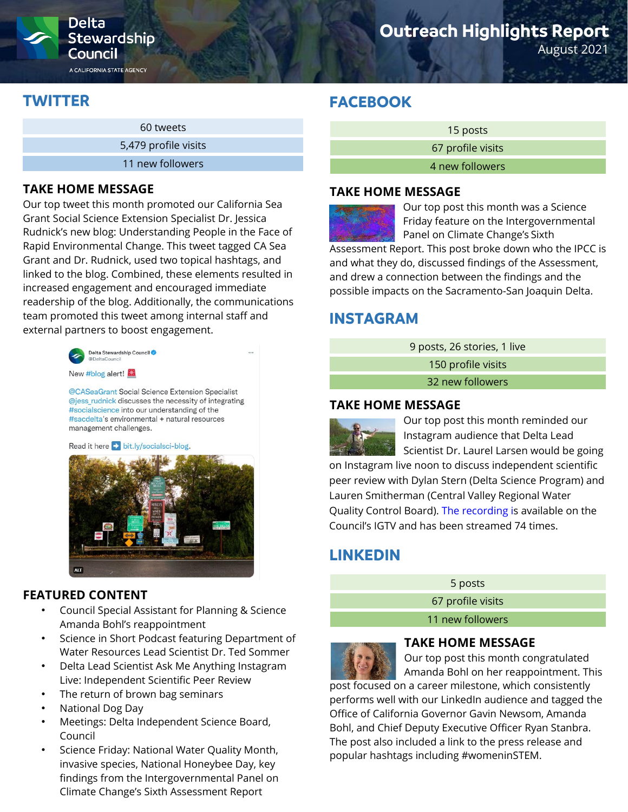

A CALIFORNIA STATE AGENCY

## **Outreach Highlights Report**

August 2021

### **TWITTER**

| 60 tweets            |
|----------------------|
| 5,479 profile visits |
| 11 new followers     |

### **TAKE HOME MESSAGE**

Our top tweet this month promoted our California Sea Grant Social Science Extension Specialist Dr. Jessica Rudnick's new blog: Understanding People in the Face of Rapid Environmental Change. This tweet tagged CA Sea Grant and Dr. Rudnick, used two topical hashtags, and linked to the blog. Combined, these elements resulted in increased engagement and encouraged immediate readership of the blog. Additionally, the communications team promoted this tweet among internal staff and external partners to boost engagement.



New #blog alert!

@CASeaGrant Social Science Extension Specialist @jess\_rudnick discusses the necessity of integrating #socialscience into our understanding of the #sacdelta's environmental + natural resources management challenges.

#### Read it here bit.ly/socialsci-blog.



### **FEATURED CONTENT**

- Council Special Assistant for Planning & Science Amanda Bohl's reappointment
- Science in Short Podcast featuring Department of Water Resources Lead Scientist Dr. Ted Sommer
- Delta Lead Scientist Ask Me Anything Instagram Live: Independent Scientific Peer Review
- The return of brown bag seminars
- National Dog Day
- Meetings: Delta Independent Science Board, Council
- Science Friday: National Water Quality Month, invasive species, National Honeybee Day, key findings from the Intergovernmental Panel on Climate Change's Sixth Assessment Report

### **FACEBOOK**

| 15 posts          |  |
|-------------------|--|
| 67 profile visits |  |
| 4 new followers   |  |
|                   |  |

#### **TAKE HOME MESSAGE**

Our top post this month was a Science Friday feature on the Intergovernmental Panel on Climate Change's Sixth Assessment Report. This post broke down who the IPCC is and what they do, discussed findings of the Assessment, and drew a connection between the findings and the possible impacts on the Sacramento-San Joaquin Delta.

### **INSTAGRAM**

9 posts, 26 stories, 1 live

150 profile visits

32 new followers

### **TAKE HOME MESSAGE**



Our top post this month reminded our Instagram audience that Delta Lead Scientist Dr. Laurel Larsen would be going

on Instagram live noon to discuss independent scientific peer review with Dylan Stern (Delta Science Program) and Lauren Smitherman (Central Valley Regional Water Quality Control Board). [The recording](https://www.instagram.com/tv/CTNe7q_JoaT/) is available on the Council's IGTV and has been streamed 74 times.

## **LINKEDIN**

5 posts

67 profile visits

11 new followers



### **TAKE HOME MESSAGE**

Our top post this month congratulated Amanda Bohl on her reappointment. This

post focused on a career milestone, which consistently performs well with our LinkedIn audience and tagged the Office of California Governor Gavin Newsom, Amanda Bohl, and Chief Deputy Executive Officer Ryan Stanbra. The post also included a link to the press release and popular hashtags including #womeninSTEM.